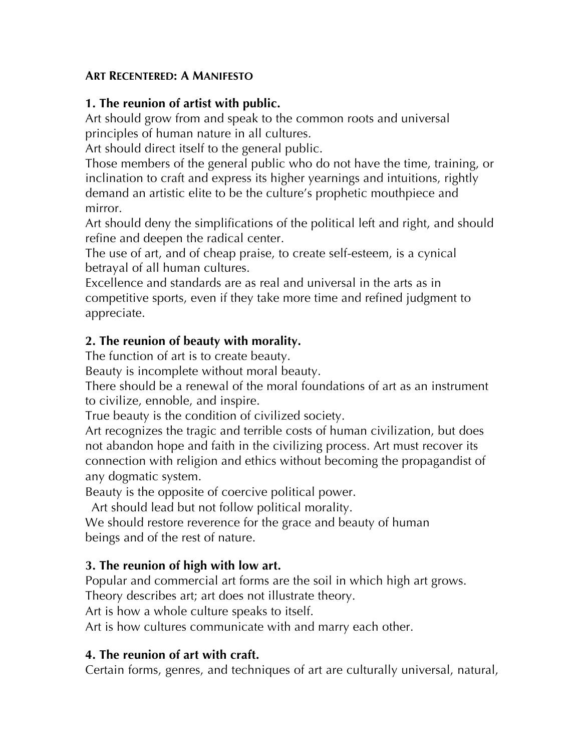#### **ART RECENTERED: A MANIFESTO**

### **1. The reunion of artist with public.**

Art should grow from and speak to the common roots and universal principles of human nature in all cultures.

Art should direct itself to the general public.

Those members of the general public who do not have the time, training, or inclination to craft and express its higher yearnings and intuitions, rightly demand an artistic elite to be the culture's prophetic mouthpiece and mirror.

Art should deny the simplifications of the political left and right, and should refine and deepen the radical center.

The use of art, and of cheap praise, to create self-esteem, is a cynical betrayal of all human cultures.

Excellence and standards are as real and universal in the arts as in competitive sports, even if they take more time and refined judgment to appreciate.

### **2. The reunion of beauty with morality.**

The function of art is to create beauty.

Beauty is incomplete without moral beauty.

There should be a renewal of the moral foundations of art as an instrument to civilize, ennoble, and inspire.

True beauty is the condition of civilized society.

Art recognizes the tragic and terrible costs of human civilization, but does not abandon hope and faith in the civilizing process. Art must recover its connection with religion and ethics without becoming the propagandist of any dogmatic system.

Beauty is the opposite of coercive political power.

Art should lead but not follow political morality.

We should restore reverence for the grace and beauty of human beings and of the rest of nature.

### **3. The reunion of high with low art.**

Popular and commercial art forms are the soil in which high art grows.

Theory describes art; art does not illustrate theory.

Art is how a whole culture speaks to itself.

Art is how cultures communicate with and marry each other.

### **4. The reunion of art with craft.**

Certain forms, genres, and techniques of art are culturally universal, natural,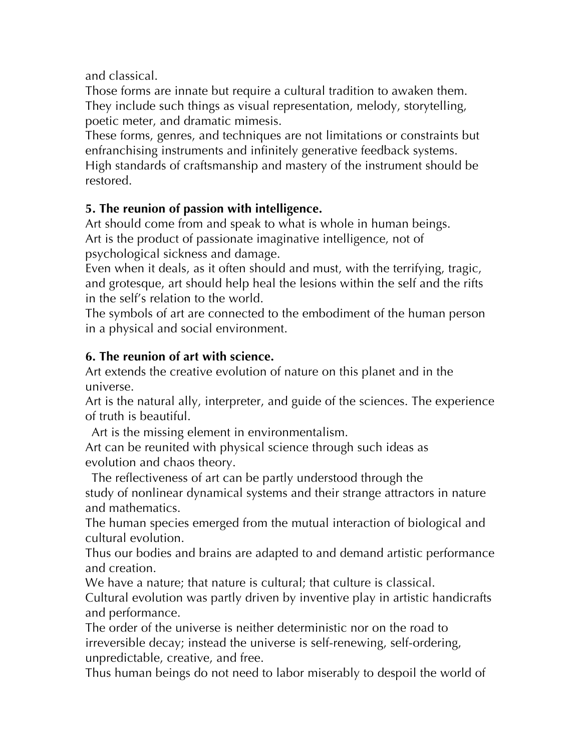and classical.

Those forms are innate but require a cultural tradition to awaken them. They include such things as visual representation, melody, storytelling, poetic meter, and dramatic mimesis.

These forms, genres, and techniques are not limitations or constraints but enfranchising instruments and infinitely generative feedback systems. High standards of craftsmanship and mastery of the instrument should be restored.

# **5. The reunion of passion with intelligence.**

Art should come from and speak to what is whole in human beings. Art is the product of passionate imaginative intelligence, not of psychological sickness and damage.

Even when it deals, as it often should and must, with the terrifying, tragic, and grotesque, art should help heal the lesions within the self and the rifts in the self's relation to the world.

The symbols of art are connected to the embodiment of the human person in a physical and social environment.

# **6. The reunion of art with science.**

Art extends the creative evolution of nature on this planet and in the universe.

Art is the natural ally, interpreter, and guide of the sciences. The experience of truth is beautiful.

Art is the missing element in environmentalism.

Art can be reunited with physical science through such ideas as evolution and chaos theory.

The reflectiveness of art can be partly understood through the study of nonlinear dynamical systems and their strange attractors in nature and mathematics.

The human species emerged from the mutual interaction of biological and cultural evolution.

Thus our bodies and brains are adapted to and demand artistic performance and creation.

We have a nature; that nature is cultural; that culture is classical.

Cultural evolution was partly driven by inventive play in artistic handicrafts and performance.

The order of the universe is neither deterministic nor on the road to irreversible decay; instead the universe is self-renewing, self-ordering, unpredictable, creative, and free.

Thus human beings do not need to labor miserably to despoil the world of